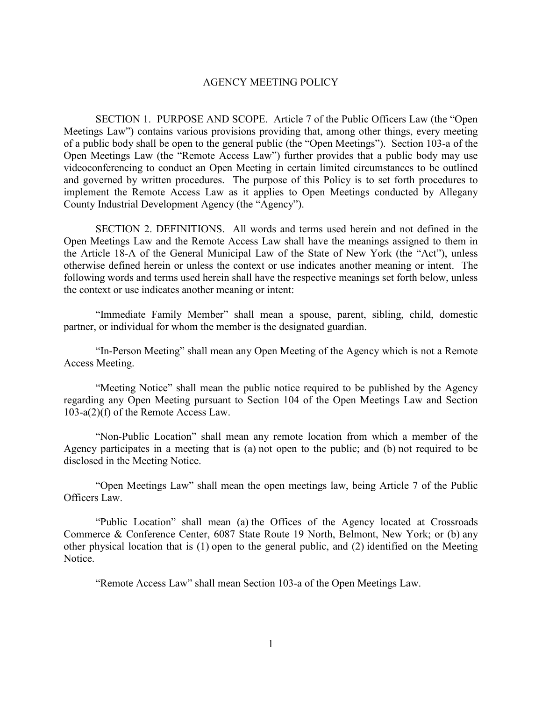## AGENCY MEETING POLICY

SECTION 1. PURPOSE AND SCOPE. Article 7 of the Public Officers Law (the "Open Meetings Law") contains various provisions providing that, among other things, every meeting of a public body shall be open to the general public (the "Open Meetings"). Section 103-a of the Open Meetings Law (the "Remote Access Law") further provides that a public body may use videoconferencing to conduct an Open Meeting in certain limited circumstances to be outlined and governed by written procedures. The purpose of this Policy is to set forth procedures to implement the Remote Access Law as it applies to Open Meetings conducted by Allegany County Industrial Development Agency (the "Agency").

SECTION 2. DEFINITIONS. All words and terms used herein and not defined in the Open Meetings Law and the Remote Access Law shall have the meanings assigned to them in the Article 18-A of the General Municipal Law of the State of New York (the "Act"), unless otherwise defined herein or unless the context or use indicates another meaning or intent. The following words and terms used herein shall have the respective meanings set forth below, unless the context or use indicates another meaning or intent:

"Immediate Family Member" shall mean a spouse, parent, sibling, child, domestic partner, or individual for whom the member is the designated guardian.

"In-Person Meeting" shall mean any Open Meeting of the Agency which is not a Remote Access Meeting.

"Meeting Notice" shall mean the public notice required to be published by the Agency regarding any Open Meeting pursuant to Section 104 of the Open Meetings Law and Section 103-a(2)(f) of the Remote Access Law.

"Non-Public Location" shall mean any remote location from which a member of the Agency participates in a meeting that is (a) not open to the public; and (b) not required to be disclosed in the Meeting Notice.

"Open Meetings Law" shall mean the open meetings law, being Article 7 of the Public Officers Law.

"Public Location" shall mean (a) the Offices of the Agency located at Crossroads Commerce & Conference Center, 6087 State Route 19 North, Belmont, New York; or (b) any other physical location that is (1) open to the general public, and (2) identified on the Meeting Notice.

"Remote Access Law" shall mean Section 103-a of the Open Meetings Law.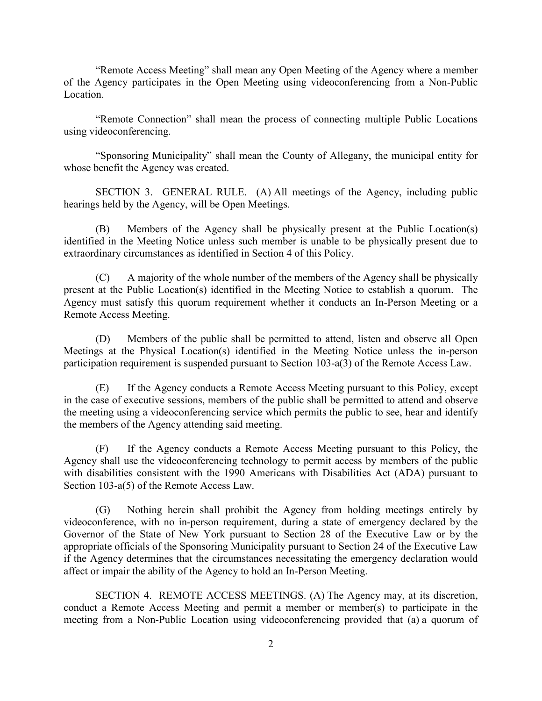"Remote Access Meeting" shall mean any Open Meeting of the Agency where a member of the Agency participates in the Open Meeting using videoconferencing from a Non-Public Location.

"Remote Connection" shall mean the process of connecting multiple Public Locations using videoconferencing.

"Sponsoring Municipality" shall mean the County of Allegany, the municipal entity for whose benefit the Agency was created.

SECTION 3. GENERAL RULE. (A) All meetings of the Agency, including public hearings held by the Agency, will be Open Meetings.

(B) Members of the Agency shall be physically present at the Public Location(s) identified in the Meeting Notice unless such member is unable to be physically present due to extraordinary circumstances as identified in Section 4 of this Policy.

(C) A majority of the whole number of the members of the Agency shall be physically present at the Public Location(s) identified in the Meeting Notice to establish a quorum. The Agency must satisfy this quorum requirement whether it conducts an In-Person Meeting or a Remote Access Meeting.

(D) Members of the public shall be permitted to attend, listen and observe all Open Meetings at the Physical Location(s) identified in the Meeting Notice unless the in-person participation requirement is suspended pursuant to Section 103-a(3) of the Remote Access Law.

(E) If the Agency conducts a Remote Access Meeting pursuant to this Policy, except in the case of executive sessions, members of the public shall be permitted to attend and observe the meeting using a videoconferencing service which permits the public to see, hear and identify the members of the Agency attending said meeting.

(F) If the Agency conducts a Remote Access Meeting pursuant to this Policy, the Agency shall use the videoconferencing technology to permit access by members of the public with disabilities consistent with the 1990 Americans with Disabilities Act (ADA) pursuant to Section 103-a(5) of the Remote Access Law.

(G) Nothing herein shall prohibit the Agency from holding meetings entirely by videoconference, with no in-person requirement, during a state of emergency declared by the Governor of the State of New York pursuant to Section 28 of the Executive Law or by the appropriate officials of the Sponsoring Municipality pursuant to Section 24 of the Executive Law if the Agency determines that the circumstances necessitating the emergency declaration would affect or impair the ability of the Agency to hold an In-Person Meeting.

SECTION 4. REMOTE ACCESS MEETINGS. (A) The Agency may, at its discretion, conduct a Remote Access Meeting and permit a member or member(s) to participate in the meeting from a Non-Public Location using videoconferencing provided that (a) a quorum of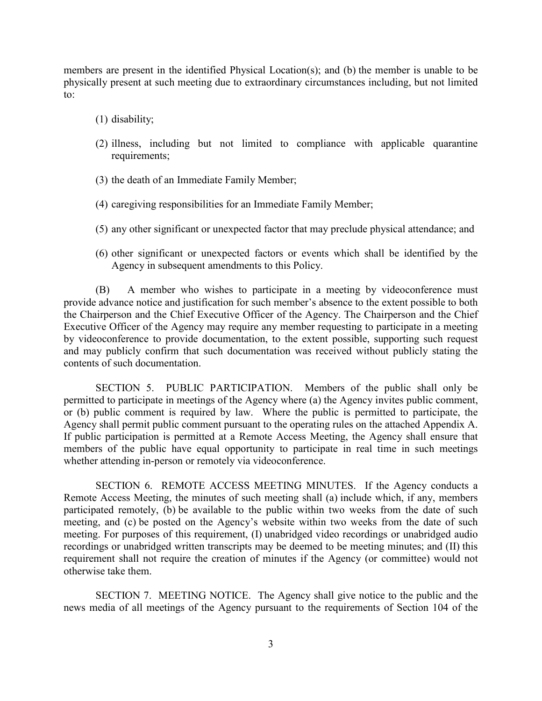members are present in the identified Physical Location(s); and (b) the member is unable to be physically present at such meeting due to extraordinary circumstances including, but not limited to:

- (1) disability;
- (2) illness, including but not limited to compliance with applicable quarantine requirements;
- (3) the death of an Immediate Family Member;
- (4) caregiving responsibilities for an Immediate Family Member;
- (5) any other significant or unexpected factor that may preclude physical attendance; and
- (6) other significant or unexpected factors or events which shall be identified by the Agency in subsequent amendments to this Policy.

(B) A member who wishes to participate in a meeting by videoconference must provide advance notice and justification for such member's absence to the extent possible to both the Chairperson and the Chief Executive Officer of the Agency. The Chairperson and the Chief Executive Officer of the Agency may require any member requesting to participate in a meeting by videoconference to provide documentation, to the extent possible, supporting such request and may publicly confirm that such documentation was received without publicly stating the contents of such documentation.

SECTION 5. PUBLIC PARTICIPATION. Members of the public shall only be permitted to participate in meetings of the Agency where (a) the Agency invites public comment, or (b) public comment is required by law. Where the public is permitted to participate, the Agency shall permit public comment pursuant to the operating rules on the attached Appendix A. If public participation is permitted at a Remote Access Meeting, the Agency shall ensure that members of the public have equal opportunity to participate in real time in such meetings whether attending in-person or remotely via videoconference.

SECTION 6. REMOTE ACCESS MEETING MINUTES. If the Agency conducts a Remote Access Meeting, the minutes of such meeting shall (a) include which, if any, members participated remotely, (b) be available to the public within two weeks from the date of such meeting, and (c) be posted on the Agency's website within two weeks from the date of such meeting. For purposes of this requirement, (I) unabridged video recordings or unabridged audio recordings or unabridged written transcripts may be deemed to be meeting minutes; and (II) this requirement shall not require the creation of minutes if the Agency (or committee) would not otherwise take them.

SECTION 7. MEETING NOTICE. The Agency shall give notice to the public and the news media of all meetings of the Agency pursuant to the requirements of Section 104 of the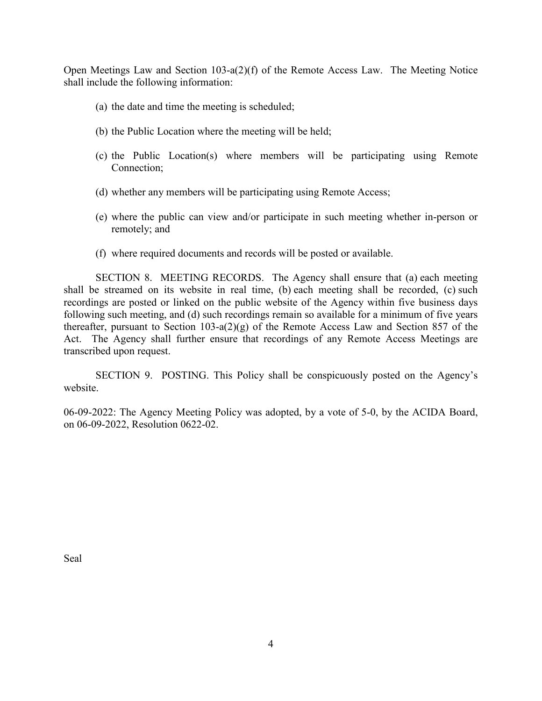Open Meetings Law and Section 103-a(2)(f) of the Remote Access Law. The Meeting Notice shall include the following information:

- (a) the date and time the meeting is scheduled;
- (b) the Public Location where the meeting will be held;
- (c) the Public Location(s) where members will be participating using Remote Connection;
- (d) whether any members will be participating using Remote Access;
- (e) where the public can view and/or participate in such meeting whether in-person or remotely; and
- (f) where required documents and records will be posted or available.

SECTION 8. MEETING RECORDS. The Agency shall ensure that (a) each meeting shall be streamed on its website in real time, (b) each meeting shall be recorded, (c) such recordings are posted or linked on the public website of the Agency within five business days following such meeting, and (d) such recordings remain so available for a minimum of five years thereafter, pursuant to Section 103-a(2)(g) of the Remote Access Law and Section 857 of the Act. The Agency shall further ensure that recordings of any Remote Access Meetings are transcribed upon request.

SECTION 9. POSTING. This Policy shall be conspicuously posted on the Agency's website.

06-09-2022: The Agency Meeting Policy was adopted, by a vote of 5-0, by the ACIDA Board, on 06-09-2022, Resolution 0622-02.

Seal